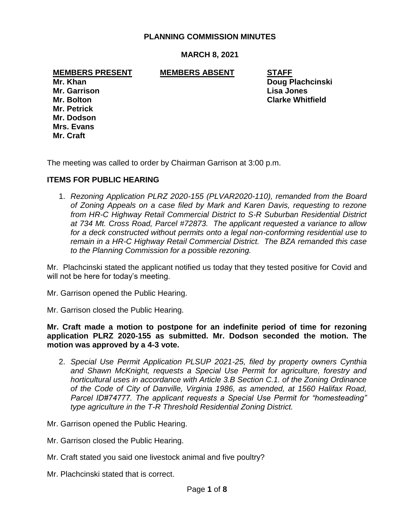# **PLANNING COMMISSION MINUTES**

## **MARCH 8, 2021**

# **MEMBERS PRESENT MEMBERS ABSENT STAFF**

**Mr. Garrison Lisa Jones Mr. Petrick Mr. Dodson Mrs. Evans Mr. Craft**

**Mr. Khan Doug Plachcinski Mr. Bolton Clarke Whitfield**

The meeting was called to order by Chairman Garrison at 3:00 p.m.

## **ITEMS FOR PUBLIC HEARING**

1. *Rezoning Application PLRZ 2020-155 (PLVAR2020-110), remanded from the Board of Zoning Appeals on a case filed by Mark and Karen Davis, requesting to rezone from HR-C Highway Retail Commercial District to S-R Suburban Residential District at 734 Mt. Cross Road, Parcel #72873. The applicant requested a variance to allow for a deck constructed without permits onto a legal non-conforming residential use to remain in a HR-C Highway Retail Commercial District. The BZA remanded this case to the Planning Commission for a possible rezoning.*

Mr. Plachcinski stated the applicant notified us today that they tested positive for Covid and will not be here for today's meeting.

Mr. Garrison opened the Public Hearing.

Mr. Garrison closed the Public Hearing.

**Mr. Craft made a motion to postpone for an indefinite period of time for rezoning application PLRZ 2020-155 as submitted. Mr. Dodson seconded the motion. The motion was approved by a 4-3 vote.**

2. *Special Use Permit Application PLSUP 2021-25, filed by property owners Cynthia and Shawn McKnight, requests a Special Use Permit for agriculture, forestry and horticultural uses in accordance with Article 3.B Section C.1. of the Zoning Ordinance of the Code of City of Danville, Virginia 1986, as amended, at 1560 Halifax Road, Parcel ID#74777. The applicant requests a Special Use Permit for "homesteading" type agriculture in the T-R Threshold Residential Zoning District.* 

Mr. Garrison opened the Public Hearing.

- Mr. Garrison closed the Public Hearing.
- Mr. Craft stated you said one livestock animal and five poultry?
- Mr. Plachcinski stated that is correct.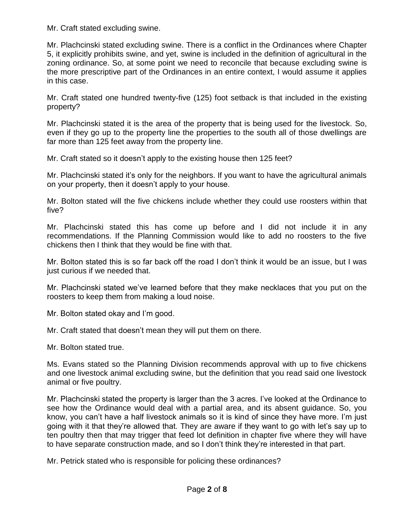Mr. Craft stated excluding swine.

Mr. Plachcinski stated excluding swine. There is a conflict in the Ordinances where Chapter 5, it explicitly prohibits swine, and yet, swine is included in the definition of agricultural in the zoning ordinance. So, at some point we need to reconcile that because excluding swine is the more prescriptive part of the Ordinances in an entire context, I would assume it applies in this case.

Mr. Craft stated one hundred twenty-five (125) foot setback is that included in the existing property?

Mr. Plachcinski stated it is the area of the property that is being used for the livestock. So, even if they go up to the property line the properties to the south all of those dwellings are far more than 125 feet away from the property line.

Mr. Craft stated so it doesn't apply to the existing house then 125 feet?

Mr. Plachcinski stated it's only for the neighbors. If you want to have the agricultural animals on your property, then it doesn't apply to your house.

Mr. Bolton stated will the five chickens include whether they could use roosters within that five?

Mr. Plachcinski stated this has come up before and I did not include it in any recommendations. If the Planning Commission would like to add no roosters to the five chickens then I think that they would be fine with that.

Mr. Bolton stated this is so far back off the road I don't think it would be an issue, but I was just curious if we needed that.

Mr. Plachcinski stated we've learned before that they make necklaces that you put on the roosters to keep them from making a loud noise.

Mr. Bolton stated okay and I'm good.

Mr. Craft stated that doesn't mean they will put them on there.

Mr. Bolton stated true.

Ms. Evans stated so the Planning Division recommends approval with up to five chickens and one livestock animal excluding swine, but the definition that you read said one livestock animal or five poultry.

Mr. Plachcinski stated the property is larger than the 3 acres. I've looked at the Ordinance to see how the Ordinance would deal with a partial area, and its absent guidance. So, you know, you can't have a half livestock animals so it is kind of since they have more. I'm just going with it that they're allowed that. They are aware if they want to go with let's say up to ten poultry then that may trigger that feed lot definition in chapter five where they will have to have separate construction made, and so I don't think they're interested in that part.

Mr. Petrick stated who is responsible for policing these ordinances?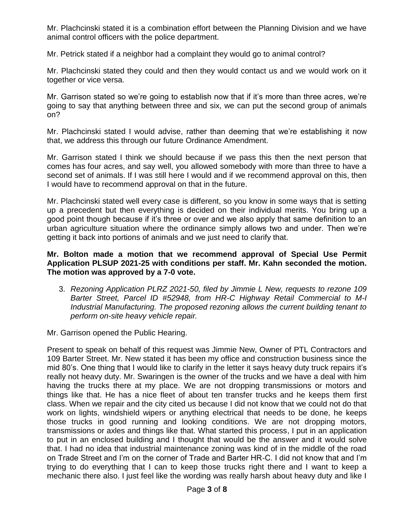Mr. Plachcinski stated it is a combination effort between the Planning Division and we have animal control officers with the police department.

Mr. Petrick stated if a neighbor had a complaint they would go to animal control?

Mr. Plachcinski stated they could and then they would contact us and we would work on it together or vice versa.

Mr. Garrison stated so we're going to establish now that if it's more than three acres, we're going to say that anything between three and six, we can put the second group of animals on?

Mr. Plachcinski stated I would advise, rather than deeming that we're establishing it now that, we address this through our future Ordinance Amendment.

Mr. Garrison stated I think we should because if we pass this then the next person that comes has four acres, and say well, you allowed somebody with more than three to have a second set of animals. If I was still here I would and if we recommend approval on this, then I would have to recommend approval on that in the future.

Mr. Plachcinski stated well every case is different, so you know in some ways that is setting up a precedent but then everything is decided on their individual merits. You bring up a good point though because if it's three or over and we also apply that same definition to an urban agriculture situation where the ordinance simply allows two and under. Then we're getting it back into portions of animals and we just need to clarify that.

## **Mr. Bolton made a motion that we recommend approval of Special Use Permit Application PLSUP 2021-25 with conditions per staff. Mr. Kahn seconded the motion. The motion was approved by a 7-0 vote.**

3. *Rezoning Application PLRZ 2021-50, filed by Jimmie L New, requests to rezone 109 Barter Street, Parcel ID #52948, from HR-C Highway Retail Commercial to M-I Industrial Manufacturing. The proposed rezoning allows the current building tenant to perform on-site heavy vehicle repair.* 

Mr. Garrison opened the Public Hearing.

Present to speak on behalf of this request was Jimmie New, Owner of PTL Contractors and 109 Barter Street. Mr. New stated it has been my office and construction business since the mid 80's. One thing that I would like to clarify in the letter it says heavy duty truck repairs it's really not heavy duty. Mr. Swaringen is the owner of the trucks and we have a deal with him having the trucks there at my place. We are not dropping transmissions or motors and things like that. He has a nice fleet of about ten transfer trucks and he keeps them first class. When we repair and the city cited us because I did not know that we could not do that work on lights, windshield wipers or anything electrical that needs to be done, he keeps those trucks in good running and looking conditions. We are not dropping motors, transmissions or axles and things like that. What started this process, I put in an application to put in an enclosed building and I thought that would be the answer and it would solve that. I had no idea that industrial maintenance zoning was kind of in the middle of the road on Trade Street and I'm on the corner of Trade and Barter HR-C. I did not know that and I'm trying to do everything that I can to keep those trucks right there and I want to keep a mechanic there also. I just feel like the wording was really harsh about heavy duty and like I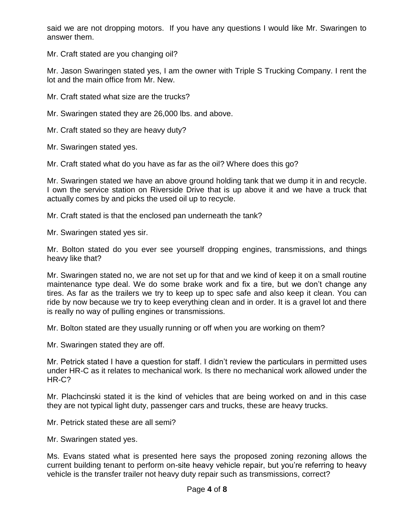said we are not dropping motors. If you have any questions I would like Mr. Swaringen to answer them.

Mr. Craft stated are you changing oil?

Mr. Jason Swaringen stated yes, I am the owner with Triple S Trucking Company. I rent the lot and the main office from Mr. New.

Mr. Craft stated what size are the trucks?

Mr. Swaringen stated they are 26,000 lbs. and above.

Mr. Craft stated so they are heavy duty?

Mr. Swaringen stated yes.

Mr. Craft stated what do you have as far as the oil? Where does this go?

Mr. Swaringen stated we have an above ground holding tank that we dump it in and recycle. I own the service station on Riverside Drive that is up above it and we have a truck that actually comes by and picks the used oil up to recycle.

Mr. Craft stated is that the enclosed pan underneath the tank?

Mr. Swaringen stated yes sir.

Mr. Bolton stated do you ever see yourself dropping engines, transmissions, and things heavy like that?

Mr. Swaringen stated no, we are not set up for that and we kind of keep it on a small routine maintenance type deal. We do some brake work and fix a tire, but we don't change any tires. As far as the trailers we try to keep up to spec safe and also keep it clean. You can ride by now because we try to keep everything clean and in order. It is a gravel lot and there is really no way of pulling engines or transmissions.

Mr. Bolton stated are they usually running or off when you are working on them?

Mr. Swaringen stated they are off.

Mr. Petrick stated I have a question for staff. I didn't review the particulars in permitted uses under HR-C as it relates to mechanical work. Is there no mechanical work allowed under the HR-C?

Mr. Plachcinski stated it is the kind of vehicles that are being worked on and in this case they are not typical light duty, passenger cars and trucks, these are heavy trucks.

Mr. Petrick stated these are all semi?

Mr. Swaringen stated yes.

Ms. Evans stated what is presented here says the proposed zoning rezoning allows the current building tenant to perform on-site heavy vehicle repair, but you're referring to heavy vehicle is the transfer trailer not heavy duty repair such as transmissions, correct?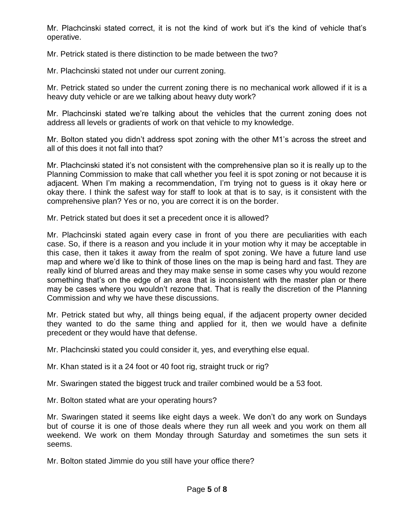Mr. Plachcinski stated correct, it is not the kind of work but it's the kind of vehicle that's operative.

Mr. Petrick stated is there distinction to be made between the two?

Mr. Plachcinski stated not under our current zoning.

Mr. Petrick stated so under the current zoning there is no mechanical work allowed if it is a heavy duty vehicle or are we talking about heavy duty work?

Mr. Plachcinski stated we're talking about the vehicles that the current zoning does not address all levels or gradients of work on that vehicle to my knowledge.

Mr. Bolton stated you didn't address spot zoning with the other M1's across the street and all of this does it not fall into that?

Mr. Plachcinski stated it's not consistent with the comprehensive plan so it is really up to the Planning Commission to make that call whether you feel it is spot zoning or not because it is adjacent. When I'm making a recommendation, I'm trying not to guess is it okay here or okay there. I think the safest way for staff to look at that is to say, is it consistent with the comprehensive plan? Yes or no, you are correct it is on the border.

Mr. Petrick stated but does it set a precedent once it is allowed?

Mr. Plachcinski stated again every case in front of you there are peculiarities with each case. So, if there is a reason and you include it in your motion why it may be acceptable in this case, then it takes it away from the realm of spot zoning. We have a future land use map and where we'd like to think of those lines on the map is being hard and fast. They are really kind of blurred areas and they may make sense in some cases why you would rezone something that's on the edge of an area that is inconsistent with the master plan or there may be cases where you wouldn't rezone that. That is really the discretion of the Planning Commission and why we have these discussions.

Mr. Petrick stated but why, all things being equal, if the adjacent property owner decided they wanted to do the same thing and applied for it, then we would have a definite precedent or they would have that defense.

Mr. Plachcinski stated you could consider it, yes, and everything else equal.

Mr. Khan stated is it a 24 foot or 40 foot rig, straight truck or rig?

Mr. Swaringen stated the biggest truck and trailer combined would be a 53 foot.

Mr. Bolton stated what are your operating hours?

Mr. Swaringen stated it seems like eight days a week. We don't do any work on Sundays but of course it is one of those deals where they run all week and you work on them all weekend. We work on them Monday through Saturday and sometimes the sun sets it seems.

Mr. Bolton stated Jimmie do you still have your office there?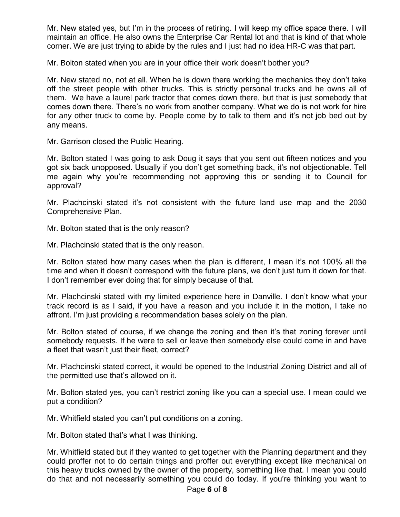Mr. New stated yes, but I'm in the process of retiring. I will keep my office space there. I will maintain an office. He also owns the Enterprise Car Rental lot and that is kind of that whole corner. We are just trying to abide by the rules and I just had no idea HR-C was that part.

Mr. Bolton stated when you are in your office their work doesn't bother you?

Mr. New stated no, not at all. When he is down there working the mechanics they don't take off the street people with other trucks. This is strictly personal trucks and he owns all of them. We have a laurel park tractor that comes down there, but that is just somebody that comes down there. There's no work from another company. What we do is not work for hire for any other truck to come by. People come by to talk to them and it's not job bed out by any means.

Mr. Garrison closed the Public Hearing.

Mr. Bolton stated I was going to ask Doug it says that you sent out fifteen notices and you got six back unopposed. Usually if you don't get something back, it's not objectionable. Tell me again why you're recommending not approving this or sending it to Council for approval?

Mr. Plachcinski stated it's not consistent with the future land use map and the 2030 Comprehensive Plan.

Mr. Bolton stated that is the only reason?

Mr. Plachcinski stated that is the only reason.

Mr. Bolton stated how many cases when the plan is different, I mean it's not 100% all the time and when it doesn't correspond with the future plans, we don't just turn it down for that. I don't remember ever doing that for simply because of that.

Mr. Plachcinski stated with my limited experience here in Danville. I don't know what your track record is as I said, if you have a reason and you include it in the motion, I take no affront. I'm just providing a recommendation bases solely on the plan.

Mr. Bolton stated of course, if we change the zoning and then it's that zoning forever until somebody requests. If he were to sell or leave then somebody else could come in and have a fleet that wasn't just their fleet, correct?

Mr. Plachcinski stated correct, it would be opened to the Industrial Zoning District and all of the permitted use that's allowed on it.

Mr. Bolton stated yes, you can't restrict zoning like you can a special use. I mean could we put a condition?

Mr. Whitfield stated you can't put conditions on a zoning.

Mr. Bolton stated that's what I was thinking.

Mr. Whitfield stated but if they wanted to get together with the Planning department and they could proffer not to do certain things and proffer out everything except like mechanical on this heavy trucks owned by the owner of the property, something like that. I mean you could do that and not necessarily something you could do today. If you're thinking you want to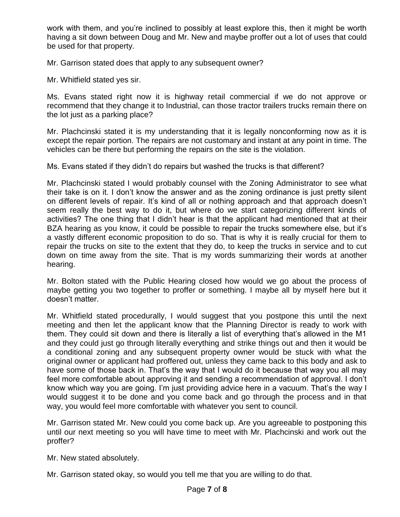work with them, and you're inclined to possibly at least explore this, then it might be worth having a sit down between Doug and Mr. New and maybe proffer out a lot of uses that could be used for that property.

Mr. Garrison stated does that apply to any subsequent owner?

Mr. Whitfield stated yes sir.

Ms. Evans stated right now it is highway retail commercial if we do not approve or recommend that they change it to Industrial, can those tractor trailers trucks remain there on the lot just as a parking place?

Mr. Plachcinski stated it is my understanding that it is legally nonconforming now as it is except the repair portion. The repairs are not customary and instant at any point in time. The vehicles can be there but performing the repairs on the site is the violation.

Ms. Evans stated if they didn't do repairs but washed the trucks is that different?

Mr. Plachcinski stated I would probably counsel with the Zoning Administrator to see what their take is on it. I don't know the answer and as the zoning ordinance is just pretty silent on different levels of repair. It's kind of all or nothing approach and that approach doesn't seem really the best way to do it, but where do we start categorizing different kinds of activities? The one thing that I didn't hear is that the applicant had mentioned that at their BZA hearing as you know, it could be possible to repair the trucks somewhere else, but it's a vastly different economic proposition to do so. That is why it is really crucial for them to repair the trucks on site to the extent that they do, to keep the trucks in service and to cut down on time away from the site. That is my words summarizing their words at another hearing.

Mr. Bolton stated with the Public Hearing closed how would we go about the process of maybe getting you two together to proffer or something. I maybe all by myself here but it doesn't matter.

Mr. Whitfield stated procedurally, I would suggest that you postpone this until the next meeting and then let the applicant know that the Planning Director is ready to work with them. They could sit down and there is literally a list of everything that's allowed in the M1 and they could just go through literally everything and strike things out and then it would be a conditional zoning and any subsequent property owner would be stuck with what the original owner or applicant had proffered out, unless they came back to this body and ask to have some of those back in. That's the way that I would do it because that way you all may feel more comfortable about approving it and sending a recommendation of approval. I don't know which way you are going. I'm just providing advice here in a vacuum. That's the way I would suggest it to be done and you come back and go through the process and in that way, you would feel more comfortable with whatever you sent to council.

Mr. Garrison stated Mr. New could you come back up. Are you agreeable to postponing this until our next meeting so you will have time to meet with Mr. Plachcinski and work out the proffer?

Mr. New stated absolutely.

Mr. Garrison stated okay, so would you tell me that you are willing to do that.